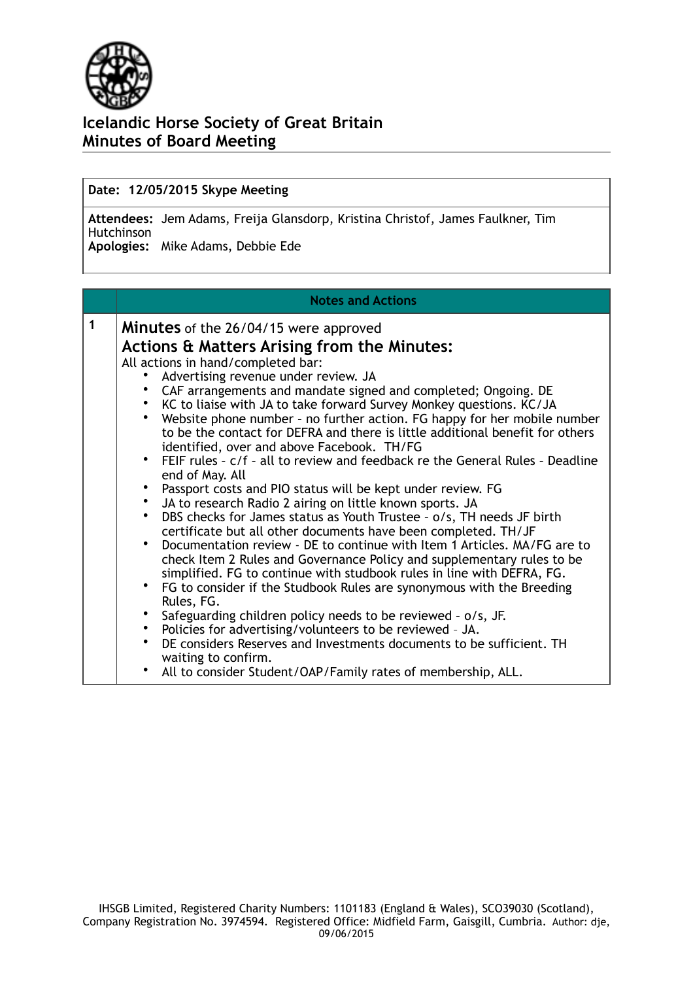

### **Date: 12/05/2015 Skype Meeting**

**Attendees:** Jem Adams, Freija Glansdorp, Kristina Christof, James Faulkner, Tim Hutchinson **Apologies:** Mike Adams, Debbie Ede

#### **Notes and Actions**

| 1 | <b>Minutes</b> of the 26/04/15 were approved                                                                                                                                                            |  |  |  |  |  |  |  |  |
|---|---------------------------------------------------------------------------------------------------------------------------------------------------------------------------------------------------------|--|--|--|--|--|--|--|--|
|   | <b>Actions &amp; Matters Arising from the Minutes:</b>                                                                                                                                                  |  |  |  |  |  |  |  |  |
|   | All actions in hand/completed bar:                                                                                                                                                                      |  |  |  |  |  |  |  |  |
|   | Advertising revenue under review. JA                                                                                                                                                                    |  |  |  |  |  |  |  |  |
|   | CAF arrangements and mandate signed and completed; Ongoing. DE                                                                                                                                          |  |  |  |  |  |  |  |  |
|   | • KC to liaise with JA to take forward Survey Monkey questions. KC/JA                                                                                                                                   |  |  |  |  |  |  |  |  |
|   | Website phone number - no further action. FG happy for her mobile number<br>to be the contact for DEFRA and there is little additional benefit for others<br>identified, over and above Facebook. TH/FG |  |  |  |  |  |  |  |  |
|   | • FEIF rules - c/f - all to review and feedback re the General Rules - Deadline<br>end of May. All                                                                                                      |  |  |  |  |  |  |  |  |
|   | • Passport costs and PIO status will be kept under review. FG                                                                                                                                           |  |  |  |  |  |  |  |  |
|   | • JA to research Radio 2 airing on little known sports. JA                                                                                                                                              |  |  |  |  |  |  |  |  |
|   | DBS checks for James status as Youth Trustee - o/s, TH needs JF birth<br>certificate but all other documents have been completed. TH/JF                                                                 |  |  |  |  |  |  |  |  |
|   | Documentation review - DE to continue with Item 1 Articles. MA/FG are to                                                                                                                                |  |  |  |  |  |  |  |  |
|   | check Item 2 Rules and Governance Policy and supplementary rules to be<br>simplified. FG to continue with studbook rules in line with DEFRA, FG.                                                        |  |  |  |  |  |  |  |  |
|   | • FG to consider if the Studbook Rules are synonymous with the Breeding<br>Rules, FG.                                                                                                                   |  |  |  |  |  |  |  |  |
|   | • Safeguarding children policy needs to be reviewed - o/s, JF.                                                                                                                                          |  |  |  |  |  |  |  |  |
|   | • Policies for advertising/volunteers to be reviewed - JA.                                                                                                                                              |  |  |  |  |  |  |  |  |
|   | DE considers Reserves and Investments documents to be sufficient. TH<br>waiting to confirm.                                                                                                             |  |  |  |  |  |  |  |  |
|   | • All to consider Student/OAP/Family rates of membership, ALL.                                                                                                                                          |  |  |  |  |  |  |  |  |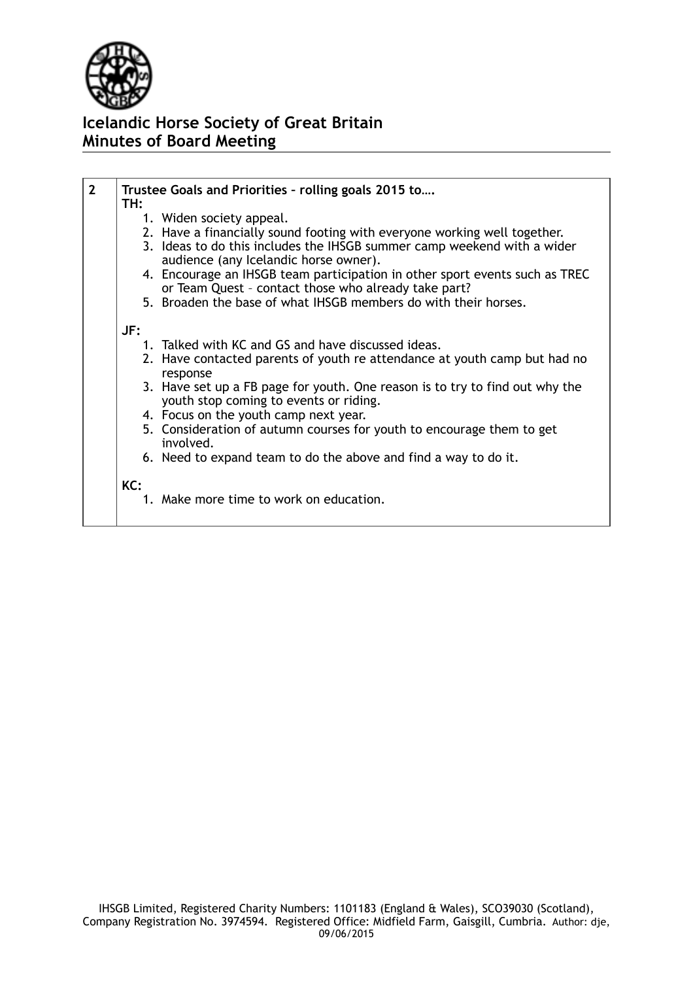

| $\overline{2}$ | Trustee Goals and Priorities - rolling goals 2015 to                         |  |  |  |  |  |  |  |  |
|----------------|------------------------------------------------------------------------------|--|--|--|--|--|--|--|--|
|                | TH:                                                                          |  |  |  |  |  |  |  |  |
|                | 1. Widen society appeal.                                                     |  |  |  |  |  |  |  |  |
|                | 2. Have a financially sound footing with everyone working well together.     |  |  |  |  |  |  |  |  |
|                |                                                                              |  |  |  |  |  |  |  |  |
|                | 3. Ideas to do this includes the IHSGB summer camp weekend with a wider      |  |  |  |  |  |  |  |  |
|                | audience (any Icelandic horse owner).                                        |  |  |  |  |  |  |  |  |
|                | 4. Encourage an IHSGB team participation in other sport events such as TREC  |  |  |  |  |  |  |  |  |
|                | or Team Quest - contact those who already take part?                         |  |  |  |  |  |  |  |  |
|                | 5. Broaden the base of what IHSGB members do with their horses.              |  |  |  |  |  |  |  |  |
|                |                                                                              |  |  |  |  |  |  |  |  |
|                | JF:                                                                          |  |  |  |  |  |  |  |  |
|                | 1. Talked with KC and GS and have discussed ideas.                           |  |  |  |  |  |  |  |  |
|                |                                                                              |  |  |  |  |  |  |  |  |
|                | 2. Have contacted parents of youth re attendance at youth camp but had no    |  |  |  |  |  |  |  |  |
|                | response                                                                     |  |  |  |  |  |  |  |  |
|                | 3. Have set up a FB page for youth. One reason is to try to find out why the |  |  |  |  |  |  |  |  |
|                | youth stop coming to events or riding.                                       |  |  |  |  |  |  |  |  |
|                | 4. Focus on the youth camp next year.                                        |  |  |  |  |  |  |  |  |
|                | 5. Consideration of autumn courses for youth to encourage them to get        |  |  |  |  |  |  |  |  |
|                | involved.                                                                    |  |  |  |  |  |  |  |  |
|                |                                                                              |  |  |  |  |  |  |  |  |
|                | 6. Need to expand team to do the above and find a way to do it.              |  |  |  |  |  |  |  |  |
|                |                                                                              |  |  |  |  |  |  |  |  |
|                | KC:                                                                          |  |  |  |  |  |  |  |  |
|                | 1. Make more time to work on education.                                      |  |  |  |  |  |  |  |  |
|                |                                                                              |  |  |  |  |  |  |  |  |
|                |                                                                              |  |  |  |  |  |  |  |  |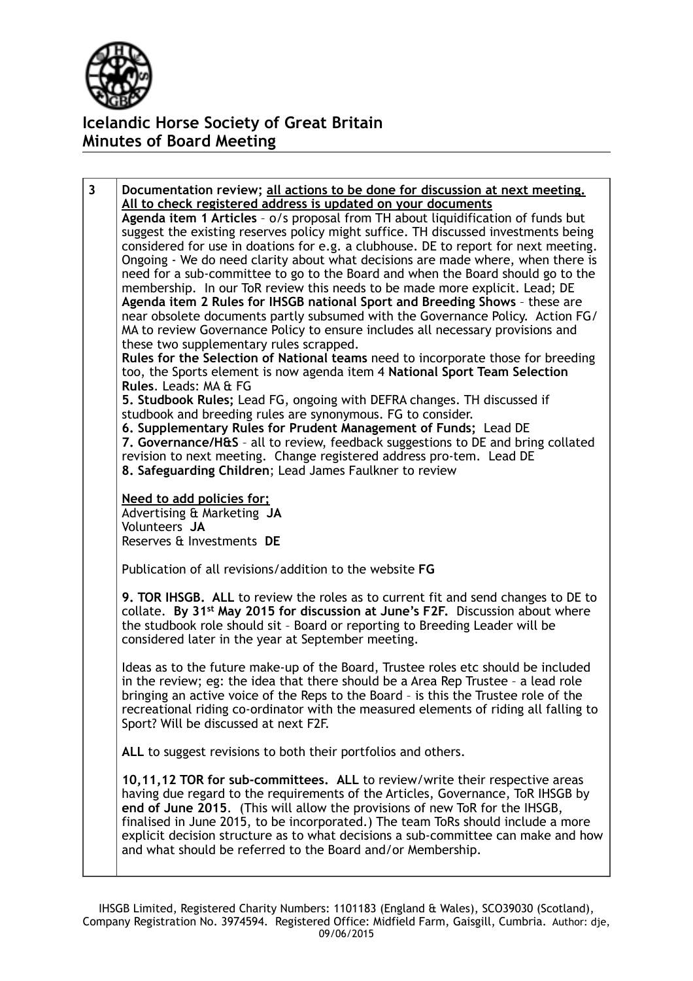

**3 Documentation review; all actions to be done for discussion at next meeting. All to check registered address is updated on your documents Agenda item 1 Articles** – o/s proposal from TH about liquidification of funds but suggest the existing reserves policy might suffice. TH discussed investments being considered for use in doations for e.g. a clubhouse. DE to report for next meeting. Ongoing - We do need clarity about what decisions are made where, when there is need for a sub-committee to go to the Board and when the Board should go to the membership. In our ToR review this needs to be made more explicit. Lead; DE **Agenda item 2 Rules for IHSGB national Sport and Breeding Shows** – these are near obsolete documents partly subsumed with the Governance Policy. Action FG/ MA to review Governance Policy to ensure includes all necessary provisions and these two supplementary rules scrapped. **Rules for the Selection of National teams** need to incorporate those for breeding too, the Sports element is now agenda item 4 **National Sport Team Selection Rules**. Leads: MA & FG **5. Studbook Rules;** Lead FG, ongoing with DEFRA changes. TH discussed if studbook and breeding rules are synonymous. FG to consider. **6. Supplementary Rules for Prudent Management of Funds;** Lead DE **7. Governance/H&S** – all to review, feedback suggestions to DE and bring collated revision to next meeting. Change registered address pro-tem. Lead DE **8. Safeguarding Children**; Lead James Faulkner to review **Need to add policies for;**  Advertising & Marketing **JA** Volunteers **JA** Reserves & Investments **DE** Publication of all revisions/addition to the website **FG 9. TOR IHSGB. ALL** to review the roles as to current fit and send changes to DE to collate. **By 31st May 2015 for discussion at June's F2F.** Discussion about where the studbook role should sit – Board or reporting to Breeding Leader will be considered later in the year at September meeting. Ideas as to the future make-up of the Board, Trustee roles etc should be included in the review; eg: the idea that there should be a Area Rep Trustee – a lead role bringing an active voice of the Reps to the Board – is this the Trustee role of the recreational riding co-ordinator with the measured elements of riding all falling to Sport? Will be discussed at next F2F. **ALL** to suggest revisions to both their portfolios and others. **10,11,12 TOR for sub-committees. ALL** to review/write their respective areas having due regard to the requirements of the Articles, Governance, ToR IHSGB by **end of June 2015**. (This will allow the provisions of new ToR for the IHSGB, finalised in June 2015, to be incorporated.) The team ToRs should include a more explicit decision structure as to what decisions a sub-committee can make and how and what should be referred to the Board and/or Membership.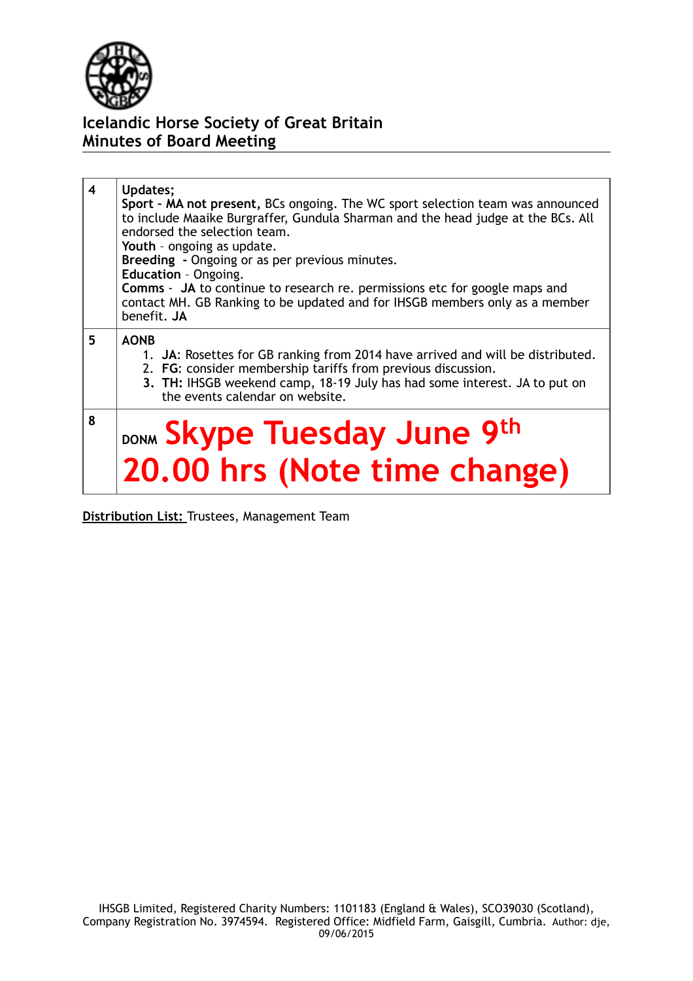

| 4 | Updates;<br>Sport - MA not present, BCs ongoing. The WC sport selection team was announced<br>to include Maaike Burgraffer, Gundula Sharman and the head judge at the BCs. All<br>endorsed the selection team.<br>Youth - ongoing as update.<br>Breeding - Ongoing or as per previous minutes.<br>Education - Ongoing.<br><b>Comms</b> - JA to continue to research re. permissions etc for google maps and<br>contact MH. GB Ranking to be updated and for IHSGB members only as a member<br>benefit. JA |
|---|-----------------------------------------------------------------------------------------------------------------------------------------------------------------------------------------------------------------------------------------------------------------------------------------------------------------------------------------------------------------------------------------------------------------------------------------------------------------------------------------------------------|
| 5 | <b>AONB</b><br>1. JA: Rosettes for GB ranking from 2014 have arrived and will be distributed.<br>2. FG: consider membership tariffs from previous discussion.<br>3. TH: IHSGB weekend camp, 18-19 July has had some interest. JA to put on<br>the events calendar on website.                                                                                                                                                                                                                             |
| 8 | DONM Skype Tuesday June 9th<br>20.00 hrs (Note time change)                                                                                                                                                                                                                                                                                                                                                                                                                                               |

**Distribution List:** Trustees, Management Team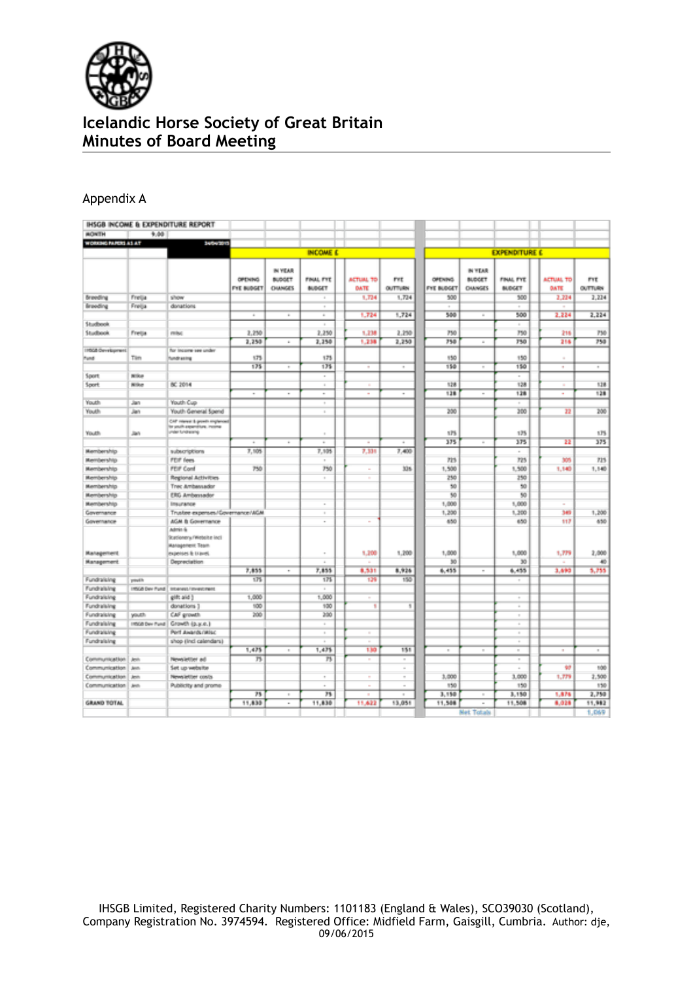

### Appendix A

|                                |                 | IHSGB INCOME & EXPENDITURE REPORT                                                     |                                     |                                            |                            |                          |                       |                                     |                                           |                                   |                                 |                       |
|--------------------------------|-----------------|---------------------------------------------------------------------------------------|-------------------------------------|--------------------------------------------|----------------------------|--------------------------|-----------------------|-------------------------------------|-------------------------------------------|-----------------------------------|---------------------------------|-----------------------|
| <b><i>BONTH</i></b>            | 9.00            |                                                                                       |                                     |                                            |                            |                          |                       |                                     |                                           |                                   |                                 |                       |
| WORKING PAPERS AS AT           |                 | 14042013                                                                              |                                     |                                            |                            |                          |                       |                                     |                                           |                                   |                                 |                       |
|                                |                 |                                                                                       |                                     |                                            | <b>INCOME C</b>            |                          |                       |                                     |                                           | <b>EXPENDITURE C</b>              |                                 |                       |
|                                |                 |                                                                                       | <b>OPENING</b><br><b>FYE BUDGET</b> | IN YEAR<br><b>BUDGET</b><br><b>CHANGES</b> | FINAL FYE<br><b>BUDGET</b> | <b>ACTUAL TO</b><br>DATE | Prt<br><b>OUTTURN</b> | <b>OPENING</b><br><b>FYE BUDGET</b> | IN YEAR<br><b>BUDGET</b><br><b>OWNGES</b> | <b>FINAL FYE</b><br><b>BUDGET</b> | <b>ACTUAL TO</b><br><b>DATE</b> | <b>FYE</b><br>OUTTURN |
| Breeding                       | Freija          | silvow                                                                                |                                     |                                            | ٠                          | 1,734                    | 1,724                 | 500                                 |                                           | 300                               | 2,224                           | 2,224                 |
| <b>Breeding</b>                | Freija          | donations                                                                             |                                     |                                            | $\sim$                     |                          |                       |                                     |                                           |                                   |                                 |                       |
|                                |                 |                                                                                       | $\sim$                              | $\mathbbm{1}$                              | $\overline{a}$             | 1,724                    | 1,724                 | 500                                 | ×                                         | 500                               | 2,224                           | 2.224                 |
| <b>Studbook</b>                |                 |                                                                                       |                                     |                                            |                            |                          |                       |                                     |                                           |                                   |                                 |                       |
| Studbook                       | Freija          | misc                                                                                  | 2,250                               |                                            | 2,250                      | 1,238                    | 2,250                 | 750                                 |                                           | 750                               | 216                             | 750                   |
|                                |                 |                                                                                       | 2,250                               | $\alpha$                                   | 2,250                      | 1,238                    | 2,250                 | 750                                 | $\alpha$                                  | 750                               | 216                             | 750                   |
| IRSGE Overkunnen               |                 | for income see under                                                                  |                                     |                                            |                            |                          |                       |                                     |                                           |                                   |                                 |                       |
| <b>Pund</b>                    | Tim             | fundrasing                                                                            | 175                                 |                                            | 173                        |                          |                       | 150                                 |                                           | 150                               |                                 |                       |
|                                |                 |                                                                                       | 175                                 | $\sim$                                     | 135                        | $\sim$                   | $\alpha$              | 158                                 | $\sim$                                    | 150                               | $\sim$                          | $\sim$                |
| Sport                          | <b>Nike</b>     |                                                                                       |                                     |                                            | $\sim$                     |                          |                       |                                     |                                           |                                   |                                 |                       |
| Sport                          | <b>Nilke</b>    | 80,2014                                                                               |                                     |                                            | $\sim$                     | ٠                        |                       | 128                                 |                                           | 128                               | ٠                               | 128                   |
|                                |                 |                                                                                       | ۰                                   | ۰                                          | $\;$                       | ٠                        | ٠                     | 138                                 | $\sim$                                    | 128                               | ٠                               | 128                   |
| Youth                          | Jan             | Youth Cup                                                                             |                                     |                                            | ٠                          |                          |                       |                                     |                                           |                                   |                                 |                       |
| Youth                          | Jan             | Youth General Spend                                                                   |                                     |                                            | ×                          |                          |                       | 200                                 |                                           | 300                               | 22                              | 200                   |
| Youth                          | Jan             | CAP rearest & growth engineered<br>to unab expensions, income<br>under fundheising    |                                     |                                            | $\,$                       |                          |                       | 175                                 |                                           | 125                               |                                 | 175                   |
|                                |                 |                                                                                       | ٠                                   | ×                                          | $\sim$                     | ٠                        | ٠                     | 375                                 | ×                                         | 175                               | 22                              | 375                   |
| Membership                     |                 | subscriptions                                                                         | 7,505                               |                                            | 7.905                      | 7.336                    | 7,400                 |                                     |                                           | $\sim$                            |                                 |                       |
| Membership                     |                 | FEIF fees                                                                             |                                     |                                            | ٠                          |                          |                       | 723                                 |                                           | 725                               | 305                             | 715                   |
| Membership                     |                 | <b>FEIF Conf</b>                                                                      | 750                                 |                                            | 750                        | $\sim$                   | 326                   | 1,500                               |                                           | 1,500                             | 1,140                           | 1,140                 |
| Membership                     |                 | Regional Activities                                                                   |                                     |                                            | $\alpha$                   | ٠                        |                       | 250                                 |                                           | 250                               |                                 |                       |
| Membership                     |                 | Trec Ambassador                                                                       |                                     |                                            |                            |                          |                       | 50                                  |                                           | 50                                |                                 |                       |
| Membership                     |                 | ERG Ambersador                                                                        |                                     |                                            |                            |                          |                       | 50                                  |                                           | 50                                |                                 |                       |
| Membership                     |                 | Insurance                                                                             |                                     |                                            | ٠                          |                          |                       | 1,000                               |                                           | 1,000                             | ٠                               |                       |
| Governance                     |                 | Trustee expenses/Governance/AGM                                                       |                                     |                                            | $\alpha$                   |                          |                       | 1,200                               |                                           | 1,200                             | 349                             | 1,200                 |
| Governance                     |                 | AGM & Governance                                                                      |                                     |                                            | ٠                          | ٠                        |                       | 650                                 |                                           | 650                               | 117                             | 650                   |
| <b>Management</b>              |                 | Admin &<br>Scationery / Witbsite Inci<br><b>Management Team</b><br>expenses & travel. |                                     |                                            | $\sim$                     | 1,200                    | 1,200                 | 1,000                               |                                           | 1,000                             | 1,779                           | 2,000                 |
| Management                     |                 | Depreciation                                                                          |                                     |                                            | $\lambda$                  | ٠                        |                       | 30                                  |                                           | 30                                | ٠                               | 40                    |
|                                |                 |                                                                                       | 7,855<br>175                        | ٠                                          | 7,855<br>175               | 8,531                    | 8,926<br>155          | 6,455                               | $\sim$                                    | 6,455                             | 3,690                           | 5,755                 |
| Fundralsing                    | papils          |                                                                                       |                                     |                                            |                            | 129                      |                       |                                     |                                           | $\sim$                            |                                 |                       |
| Fundralsing                    | Inside Dev Pund | Interversit/intervicinant                                                             | 1,000                               |                                            | $\sim$<br>1,000            |                          |                       |                                     |                                           |                                   |                                 |                       |
| Fundralsing<br>Fundralsing     |                 | gift and )<br>donations 1                                                             | 100                                 |                                            | 100                        | ٦                        | ¥                     |                                     |                                           | $\sim$                            |                                 |                       |
| Fundralsing                    | youth.          | CAF growth                                                                            | 200                                 |                                            | 350                        |                          |                       |                                     |                                           | ×                                 |                                 |                       |
|                                | INSOE Dev Pund  |                                                                                       |                                     |                                            | ×                          |                          |                       |                                     |                                           | $\sim$<br>$\overline{a}$          |                                 |                       |
| Fundralsing<br>Fundralsing     |                 | Growth (p.y.e.)<br>Pert Awards (Wisc                                                  |                                     |                                            |                            |                          |                       |                                     |                                           |                                   |                                 |                       |
| Fundralsing                    |                 | shop (incl calendars)                                                                 |                                     |                                            | $\alpha$                   | ×                        |                       |                                     |                                           | ×<br>×                            |                                 |                       |
|                                |                 |                                                                                       | 1,475                               | $\alpha$                                   | 1,475                      | 130                      | 151                   | $\alpha$                            | $\alpha$                                  | $\sim$                            | ٠                               | $\sim$                |
|                                |                 |                                                                                       |                                     |                                            | n                          |                          | $\sim$                |                                     |                                           | $\sim$                            |                                 |                       |
| Communication<br>Communication | Jeth<br>Jent.   | Newsletter ad<br>Set up website                                                       | 75                                  |                                            |                            | $\sim$                   | $\sim$                |                                     |                                           |                                   | 97                              | 100                   |
| Communication                  | Jest.           | Newsletter costs                                                                      |                                     |                                            | $\alpha$                   | $\sim$                   | $\sim$                | 3,000                               |                                           | 3,000                             | 1,779                           | 2,500                 |
| Communication                  | <b>Jeth</b>     | Publicity and promo-                                                                  |                                     |                                            | ٠                          | $\sim$                   | $\sim$                | 150                                 |                                           | 150                               |                                 | 150                   |
|                                |                 |                                                                                       | 75                                  | $\alpha$                                   | 73                         | ٠                        | $\sim$                | 3,150                               |                                           | 3,150                             | 1,876                           | 2,750                 |
| <b>GRAND TOTAL</b>             |                 |                                                                                       | 11,830                              | ٠                                          | 11,830                     | 11,622                   | 13,051                | 11,508                              | $\overline{a}$                            | 11,508                            | 8,028                           | 11,982                |
|                                |                 |                                                                                       |                                     |                                            |                            |                          |                       |                                     |                                           |                                   |                                 |                       |